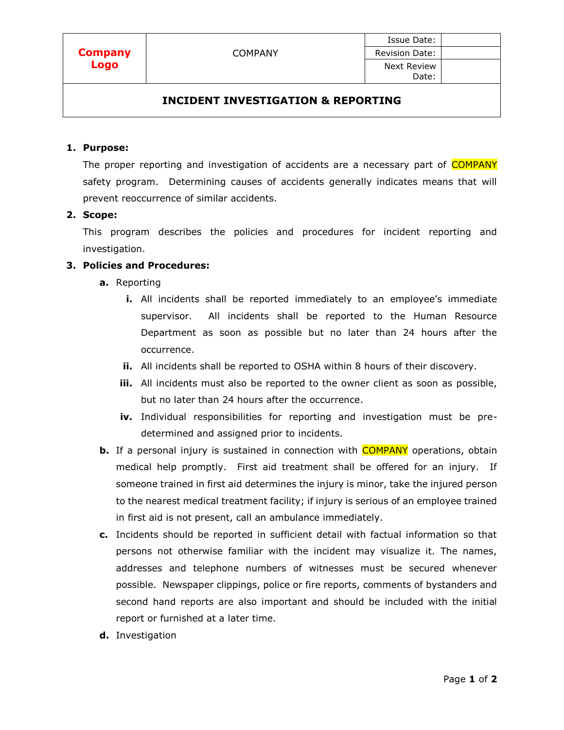## **INCIDENT INVESTIGATION & REPORTING**

#### **1. Purpose:**

The proper reporting and investigation of accidents are a necessary part of **COMPANY** safety program. Determining causes of accidents generally indicates means that will prevent reoccurrence of similar accidents.

### **2. Scope:**

This program describes the policies and procedures for incident reporting and investigation.

## **3. Policies and Procedures:**

- **a.** Reporting
	- **i.** All incidents shall be reported immediately to an employee's immediate supervisor. All incidents shall be reported to the Human Resource Department as soon as possible but no later than 24 hours after the occurrence.
	- **ii.** All incidents shall be reported to OSHA within 8 hours of their discovery.
	- **iii.** All incidents must also be reported to the owner client as soon as possible, but no later than 24 hours after the occurrence.
	- **iv.** Individual responsibilities for reporting and investigation must be predetermined and assigned prior to incidents.
- **b.** If a personal injury is sustained in connection with **COMPANY** operations, obtain medical help promptly. First aid treatment shall be offered for an injury. If someone trained in first aid determines the injury is minor, take the injured person to the nearest medical treatment facility; if injury is serious of an employee trained in first aid is not present, call an ambulance immediately.
- **c.** Incidents should be reported in sufficient detail with factual information so that persons not otherwise familiar with the incident may visualize it. The names, addresses and telephone numbers of witnesses must be secured whenever possible. Newspaper clippings, police or fire reports, comments of bystanders and second hand reports are also important and should be included with the initial report or furnished at a later time.
- **d.** Investigation